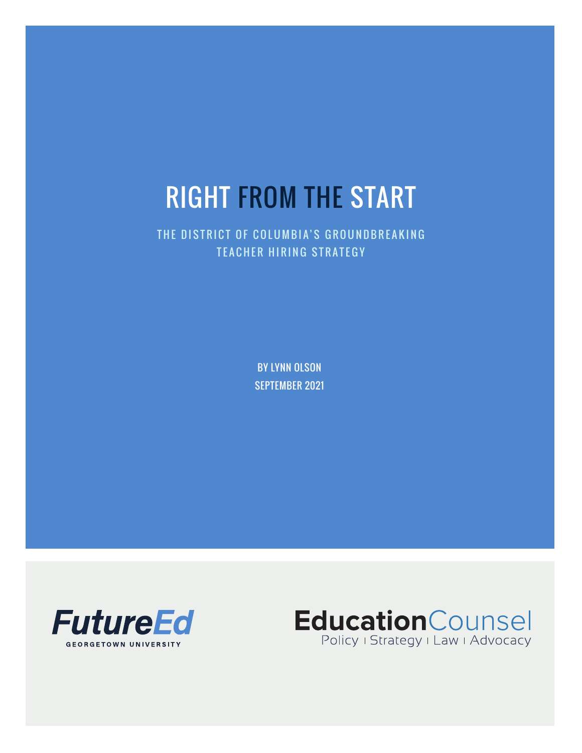## RIGHT FROM THE START

THE DISTRICT OF COLUMBIA'S GROUNDBREAKING TEACHER HIRING STRATEGY

> BY LYNN OLSON SEPTEMBER 2021



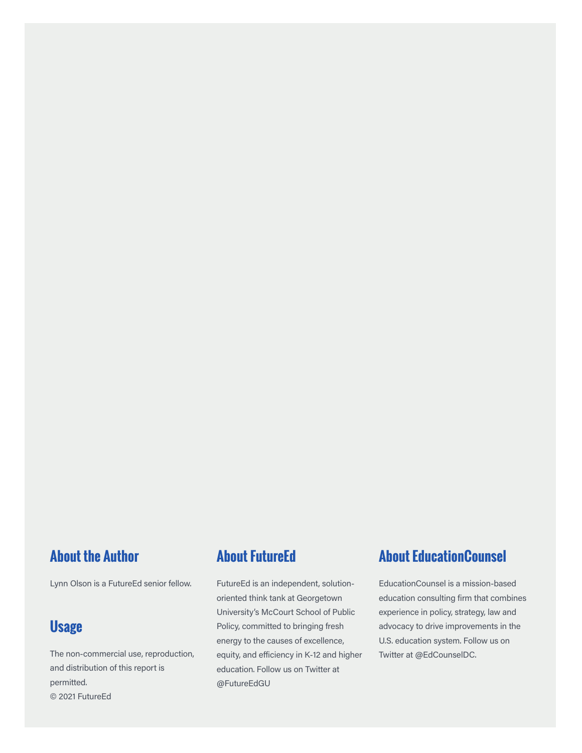## **About the Author**

Lynn Olson is a FutureEd senior fellow.

## **Usage**

The non-commercial use, reproduction, and distribution of this report is permitted. © 2021 FutureEd

## **About FutureEd**

FutureEd is an independent, solutionoriented think tank at Georgetown University's McCourt School of Public Policy, committed to bringing fresh energy to the causes of excellence, equity, and efficiency in K-12 and higher education. Follow us on Twitter at @FutureEdGU

## **About EducationCounsel**

EducationCounsel is a mission-based education consulting firm that combines experience in policy, strategy, law and advocacy to drive improvements in the U.S. education system. Follow us on Twitter at @EdCounselDC.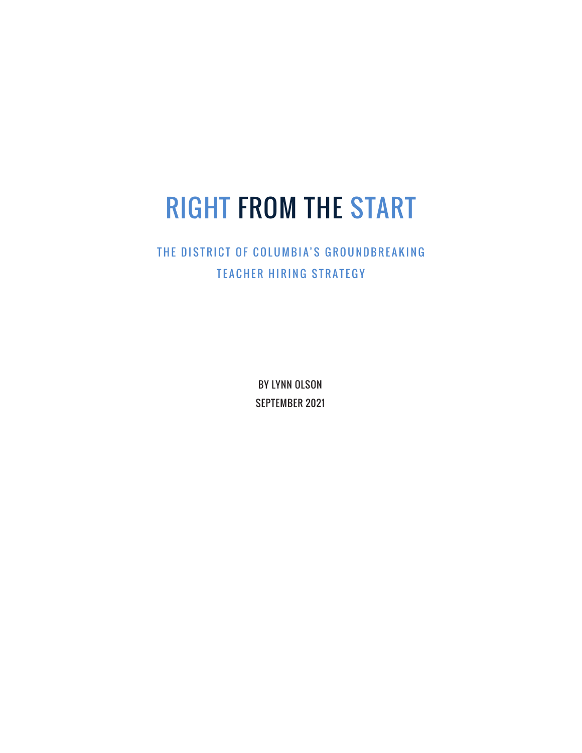## RIGHT FROM THE START

## THE DISTRICT OF COLUMBIA'S GROUNDBREAKING TEACHER HIRING STRATEGY

BY LYNN OLSON SEPTEMBER 2021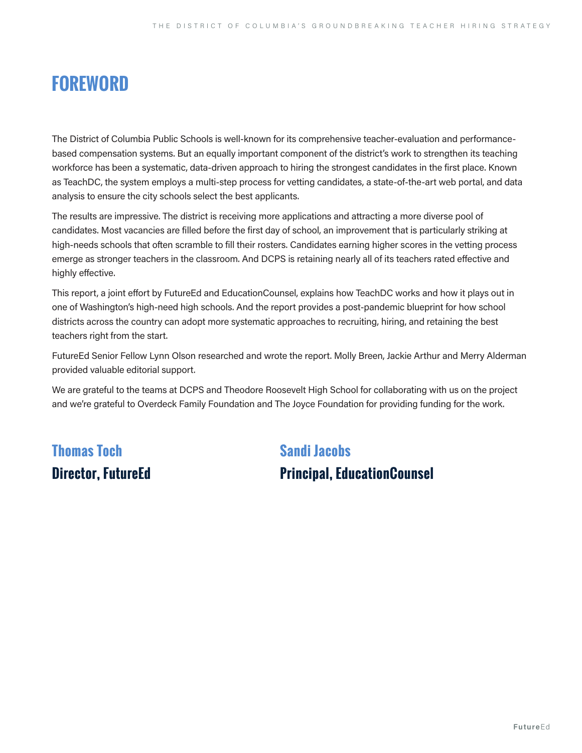## **FOREWORD**

The District of Columbia Public Schools is well-known for its comprehensive teacher-evaluation and performancebased compensation systems. But an equally important component of the district's work to strengthen its teaching workforce has been a systematic, data-driven approach to hiring the strongest candidates in the first place. Known as TeachDC, the system employs a multi-step process for vetting candidates, a state-of-the-art web portal, and data analysis to ensure the city schools select the best applicants.

The results are impressive. The district is receiving more applications and attracting a more diverse pool of candidates. Most vacancies are filled before the first day of school, an improvement that is particularly striking at high-needs schools that often scramble to fill their rosters. Candidates earning higher scores in the vetting process emerge as stronger teachers in the classroom. And DCPS is retaining nearly all of its teachers rated effective and highly effective.

This report, a joint effort by FutureEd and EducationCounsel, explains how TeachDC works and how it plays out in one of Washington's high-need high schools. And the report provides a post-pandemic blueprint for how school districts across the country can adopt more systematic approaches to recruiting, hiring, and retaining the best teachers right from the start.

FutureEd Senior Fellow Lynn Olson researched and wrote the report. Molly Breen, Jackie Arthur and Merry Alderman provided valuable editorial support.

We are grateful to the teams at DCPS and Theodore Roosevelt High School for collaborating with us on the project and we're grateful to Overdeck Family Foundation and The Joyce Foundation for providing funding for the work.

# **Thomas Toch Sandi Jacobs**

**Director, FutureEd Principal, EducationCounsel**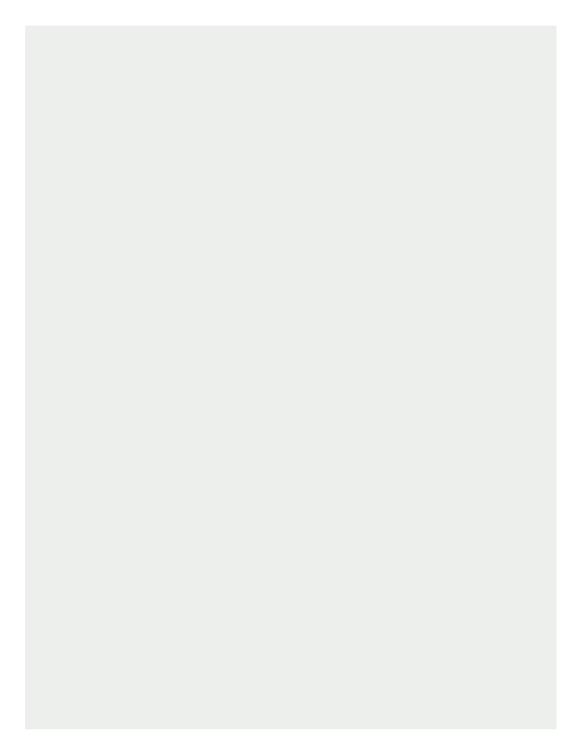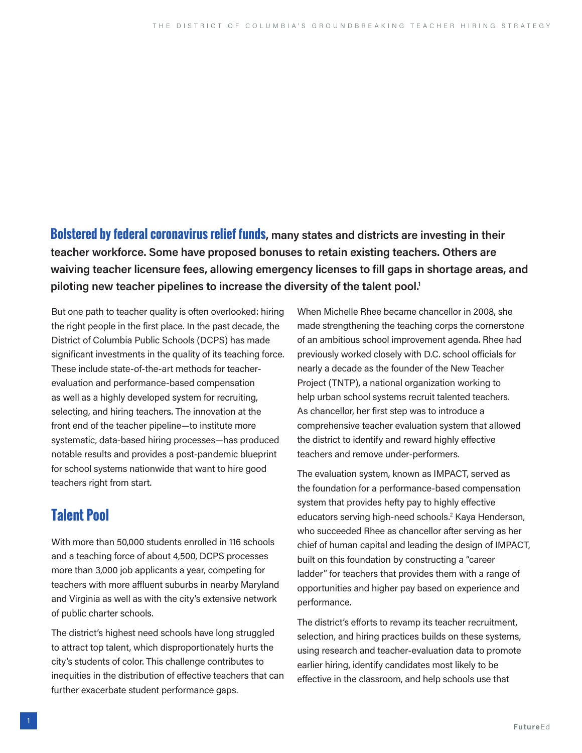**Bolstered by federal coronavirus relief funds, many states and districts are investing in their teacher workforce. Some have proposed bonuses to retain existing teachers. Others are waiving teacher licensure fees, allowing emergency licenses to fill gaps in shortage areas, and piloting new teacher pipelines to increase the diversity of the talent pool.1**

But one path to teacher quality is often overlooked: hiring the right people in the first place. In the past decade, the District of Columbia Public Schools (DCPS) has made significant investments in the quality of its teaching force. These include state-of-the-art methods for teacherevaluation and performance-based compensation as well as a highly developed system for recruiting, selecting, and hiring teachers. The innovation at the front end of the teacher pipeline—to institute more systematic, data-based hiring processes—has produced notable results and provides a post-pandemic blueprint for school systems nationwide that want to hire good teachers right from start.

## **Talent Pool**

With more than 50,000 students enrolled in 116 schools and a teaching force of about 4,500, DCPS processes more than 3,000 job applicants a year, competing for teachers with more affluent suburbs in nearby Maryland and Virginia as well as with the city's extensive network of public charter schools.

The district's highest need schools have long struggled to attract top talent, which disproportionately hurts the city's students of color. This challenge contributes to inequities in the distribution of effective teachers that can further exacerbate student performance gaps.

When Michelle Rhee became chancellor in 2008, she made strengthening the teaching corps the cornerstone of an ambitious school improvement agenda. Rhee had previously worked closely with D.C. school officials for nearly a decade as the founder of the New Teacher Project (TNTP), a national organization working to help urban school systems recruit talented teachers. As chancellor, her first step was to introduce a comprehensive teacher evaluation system that allowed the district to identify and reward highly effective teachers and remove under-performers.

The evaluation system, known as IMPACT, served as the foundation for a performance-based compensation system that provides hefty pay to highly effective educators serving high-need schools.<sup>2</sup> Kaya Henderson, who succeeded Rhee as chancellor after serving as her chief of human capital and leading the design of IMPACT, built on this foundation by constructing a "career ladder" for teachers that provides them with a range of opportunities and higher pay based on experience and performance.

The district's efforts to revamp its teacher recruitment, selection, and hiring practices builds on these systems, using research and teacher-evaluation data to promote earlier hiring, identify candidates most likely to be effective in the classroom, and help schools use that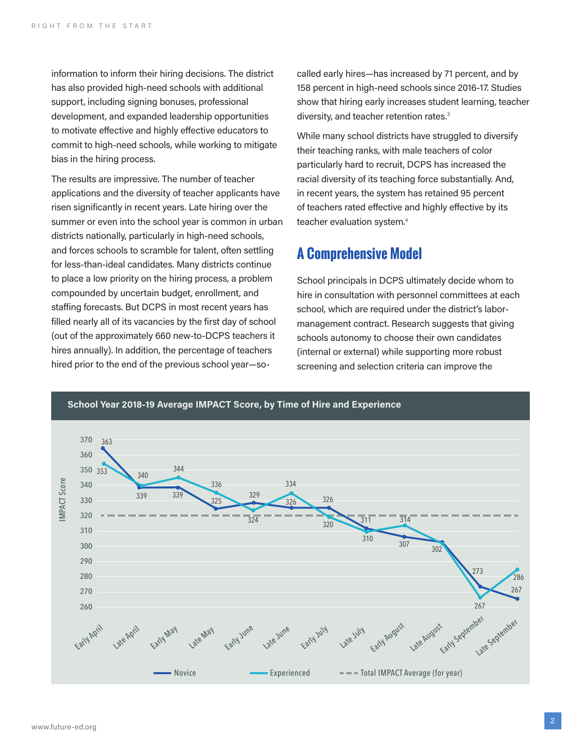information to inform their hiring decisions. The district has also provided high-need schools with additional support, including signing bonuses, professional development, and expanded leadership opportunities to motivate effective and highly effective educators to commit to high-need schools, while working to mitigate bias in the hiring process.

The results are impressive. The number of teacher applications and the diversity of teacher applicants have risen significantly in recent years. Late hiring over the summer or even into the school year is common in urban districts nationally, particularly in high-need schools, and forces schools to scramble for talent, often settling for less-than-ideal candidates. Many districts continue to place a low priority on the hiring process, a problem compounded by uncertain budget, enrollment, and staffing forecasts. But DCPS in most recent years has filled nearly all of its vacancies by the first day of school (out of the approximately 660 new-to-DCPS teachers it hires annually). In addition, the percentage of teachers hired prior to the end of the previous school year—socalled early hires—has increased by 71 percent, and by 158 percent in high-need schools since 2016-17. Studies show that hiring early increases student learning, teacher diversity, and teacher retention rates.<sup>3</sup>

While many school districts have struggled to diversify their teaching ranks, with male teachers of color particularly hard to recruit, DCPS has increased the racial diversity of its teaching force substantially. And, in recent years, the system has retained 95 percent of teachers rated effective and highly effective by its teacher evaluation system.<sup>4</sup>

## **A Comprehensive Model**

School principals in DCPS ultimately decide whom to hire in consultation with personnel committees at each school, which are required under the district's labormanagement contract. Research suggests that giving schools autonomy to choose their own candidates (internal or external) while supporting more robust screening and selection criteria can improve the



www.future-ed.org

2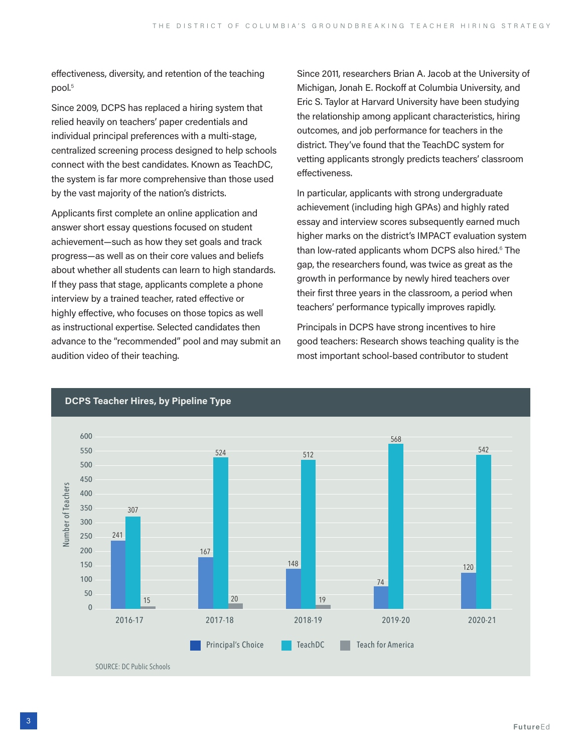effectiveness, diversity, and retention of the teaching pool.<sup>5</sup>

Since 2009, DCPS has replaced a hiring system that relied heavily on teachers' paper credentials and individual principal preferences with a multi-stage, centralized screening process designed to help schools connect with the best candidates. Known as TeachDC, the system is far more comprehensive than those used by the vast majority of the nation's districts.

Applicants first complete an online application and answer short essay questions focused on student achievement—such as how they set goals and track progress—as well as on their core values and beliefs about whether all students can learn to high standards. If they pass that stage, applicants complete a phone interview by a trained teacher, rated effective or highly effective, who focuses on those topics as well as instructional expertise. Selected candidates then advance to the "recommended" pool and may submit an audition video of their teaching.

Since 2011, researchers Brian A. Jacob at the University of Michigan, Jonah E. Rockoff at Columbia University, and Eric S. Taylor at Harvard University have been studying the relationship among applicant characteristics, hiring outcomes, and job performance for teachers in the district. They've found that the TeachDC system for vetting applicants strongly predicts teachers' classroom effectiveness.

In particular, applicants with strong undergraduate achievement (including high GPAs) and highly rated essay and interview scores subsequently earned much higher marks on the district's IMPACT evaluation system than low-rated applicants whom DCPS also hired.<sup>6</sup> The gap, the researchers found, was twice as great as the growth in performance by newly hired teachers over their first three years in the classroom, a period when teachers' performance typically improves rapidly.

Principals in DCPS have strong incentives to hire good teachers: Research shows teaching quality is the most important school-based contributor to student



### **DCPS Teacher Hires, by Pipeline Type**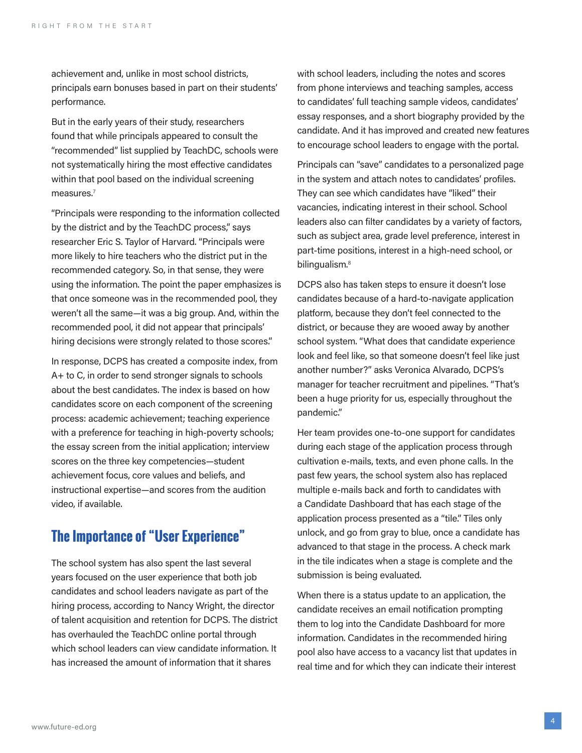achievement and, unlike in most school districts, principals earn bonuses based in part on their students' performance.

But in the early years of their study, researchers found that while principals appeared to consult the "recommended" list supplied by TeachDC, schools were not systematically hiring the most effective candidates within that pool based on the individual screening measures.<sup>7</sup>

"Principals were responding to the information collected by the district and by the TeachDC process," says researcher Eric S. Taylor of Harvard. "Principals were more likely to hire teachers who the district put in the recommended category. So, in that sense, they were using the information. The point the paper emphasizes is that once someone was in the recommended pool, they weren't all the same—it was a big group. And, within the recommended pool, it did not appear that principals' hiring decisions were strongly related to those scores."

In response, DCPS has created a composite index, from A+ to C, in order to send stronger signals to schools about the best candidates. The index is based on how candidates score on each component of the screening process: academic achievement; teaching experience with a preference for teaching in high-poverty schools; the essay screen from the initial application; interview scores on the three key competencies—student achievement focus, core values and beliefs, and instructional expertise—and scores from the audition video, if available.

### **The Importance of "User Experience"**

The school system has also spent the last several years focused on the user experience that both job candidates and school leaders navigate as part of the hiring process, according to Nancy Wright, the director of talent acquisition and retention for DCPS. The district has overhauled the TeachDC online portal through which school leaders can view candidate information. It has increased the amount of information that it shares

with school leaders, including the notes and scores from phone interviews and teaching samples, access to candidates' full teaching sample videos, candidates' essay responses, and a short biography provided by the candidate. And it has improved and created new features to encourage school leaders to engage with the portal.

Principals can "save" candidates to a personalized page in the system and attach notes to candidates' profiles. They can see which candidates have "liked" their vacancies, indicating interest in their school. School leaders also can filter candidates by a variety of factors, such as subject area, grade level preference, interest in part-time positions, interest in a high-need school, or bilingualism.<sup>8</sup>

DCPS also has taken steps to ensure it doesn't lose candidates because of a hard-to-navigate application platform, because they don't feel connected to the district, or because they are wooed away by another school system. "What does that candidate experience look and feel like, so that someone doesn't feel like just another number?" asks Veronica Alvarado, DCPS's manager for teacher recruitment and pipelines. "That's been a huge priority for us, especially throughout the pandemic."

Her team provides one-to-one support for candidates during each stage of the application process through cultivation e-mails, texts, and even phone calls. In the past few years, the school system also has replaced multiple e-mails back and forth to candidates with a Candidate Dashboard that has each stage of the application process presented as a "tile." Tiles only unlock, and go from gray to blue, once a candidate has advanced to that stage in the process. A check mark in the tile indicates when a stage is complete and the submission is being evaluated.

When there is a status update to an application, the candidate receives an email notification prompting them to log into the Candidate Dashboard for more information. Candidates in the recommended hiring pool also have access to a vacancy list that updates in real time and for which they can indicate their interest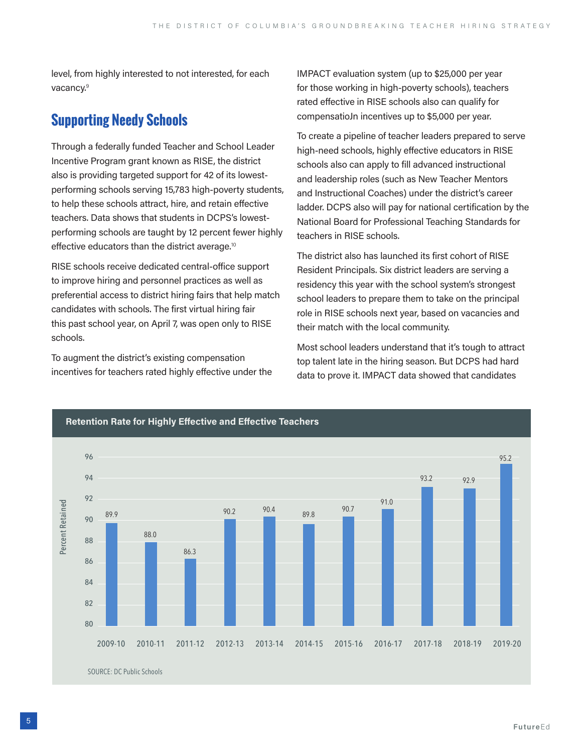level, from highly interested to not interested, for each vacancy.<sup>9</sup>

## **Supporting Needy Schools**

Through a federally funded Teacher and School Leader Incentive Program grant known as RISE, the district also is providing targeted support for 42 of its lowestperforming schools serving 15,783 high-poverty students, to help these schools attract, hire, and retain effective teachers. Data shows that students in DCPS's lowestperforming schools are taught by 12 percent fewer highly effective educators than the district average.<sup>10</sup>

RISE schools receive dedicated central-office support to improve hiring and personnel practices as well as preferential access to district hiring fairs that help match candidates with schools. The first virtual hiring fair this past school year, on April 7, was open only to RISE schools.

To augment the district's existing compensation incentives for teachers rated highly effective under the IMPACT evaluation system (up to \$25,000 per year for those working in high-poverty schools), teachers rated effective in RISE schools also can qualify for compensatioJn incentives up to \$5,000 per year.

To create a pipeline of teacher leaders prepared to serve high-need schools, highly effective educators in RISE schools also can apply to fill advanced instructional and leadership roles (such as New Teacher Mentors and Instructional Coaches) under the district's career ladder. DCPS also will pay for national certification by the National Board for Professional Teaching Standards for teachers in RISE schools.

The district also has launched its first cohort of RISE Resident Principals. Six district leaders are serving a residency this year with the school system's strongest school leaders to prepare them to take on the principal role in RISE schools next year, based on vacancies and their match with the local community.

Most school leaders understand that it's tough to attract top talent late in the hiring season. But DCPS had hard data to prove it. IMPACT data showed that candidates

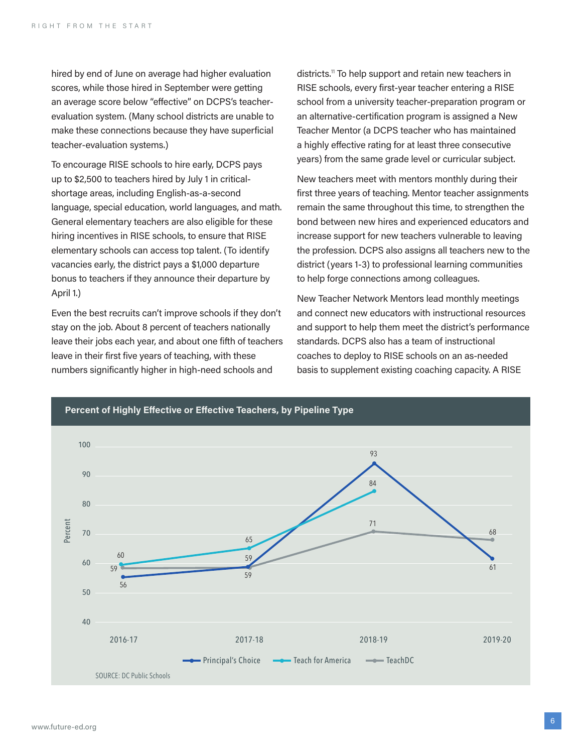hired by end of June on average had higher evaluation scores, while those hired in September were getting an average score below "effective" on DCPS's teacherevaluation system. (Many school districts are unable to make these connections because they have superficial teacher-evaluation systems.)

To encourage RISE schools to hire early, DCPS pays up to \$2,500 to teachers hired by July 1 in criticalshortage areas, including English-as-a-second language, special education, world languages, and math. General elementary teachers are also eligible for these hiring incentives in RISE schools, to ensure that RISE elementary schools can access top talent. (To identify vacancies early, the district pays a \$1,000 departure bonus to teachers if they announce their departure by April 1.)

Even the best recruits can't improve schools if they don't stay on the job. About 8 percent of teachers nationally leave their jobs each year, and about one fifth of teachers leave in their first five years of teaching, with these numbers significantly higher in high-need schools and

districts.<sup>11</sup> To help support and retain new teachers in RISE schools, every first-year teacher entering a RISE school from a university teacher-preparation program or an alternative-certification program is assigned a New Teacher Mentor (a DCPS teacher who has maintained a highly effective rating for at least three consecutive years) from the same grade level or curricular subject.

New teachers meet with mentors monthly during their first three years of teaching. Mentor teacher assignments remain the same throughout this time, to strengthen the bond between new hires and experienced educators and increase support for new teachers vulnerable to leaving the profession. DCPS also assigns all teachers new to the district (years 1-3) to professional learning communities to help forge connections among colleagues.

New Teacher Network Mentors lead monthly meetings and connect new educators with instructional resources and support to help them meet the district's performance standards. DCPS also has a team of instructional coaches to deploy to RISE schools on an as-needed basis to supplement existing coaching capacity. A RISE

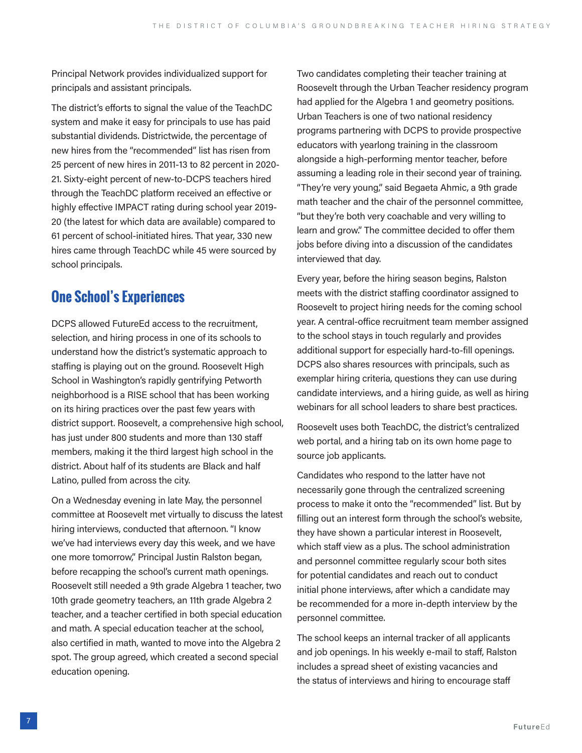Principal Network provides individualized support for principals and assistant principals.

The district's efforts to signal the value of the TeachDC system and make it easy for principals to use has paid substantial dividends. Districtwide, the percentage of new hires from the "recommended" list has risen from 25 percent of new hires in 2011-13 to 82 percent in 2020- 21. Sixty-eight percent of new-to-DCPS teachers hired through the TeachDC platform received an effective or highly effective IMPACT rating during school year 2019- 20 (the latest for which data are available) compared to 61 percent of school-initiated hires. That year, 330 new hires came through TeachDC while 45 were sourced by school principals.

## **One School's Experiences**

DCPS allowed FutureEd access to the recruitment, selection, and hiring process in one of its schools to understand how the district's systematic approach to staffing is playing out on the ground. Roosevelt High School in Washington's rapidly gentrifying Petworth neighborhood is a RISE school that has been working on its hiring practices over the past few years with district support. Roosevelt, a comprehensive high school, has just under 800 students and more than 130 staff members, making it the third largest high school in the district. About half of its students are Black and half Latino, pulled from across the city.

On a Wednesday evening in late May, the personnel committee at Roosevelt met virtually to discuss the latest hiring interviews, conducted that afternoon. "I know we've had interviews every day this week, and we have one more tomorrow," Principal Justin Ralston began, before recapping the school's current math openings. Roosevelt still needed a 9th grade Algebra 1 teacher, two 10th grade geometry teachers, an 11th grade Algebra 2 teacher, and a teacher certified in both special education and math. A special education teacher at the school, also certified in math, wanted to move into the Algebra 2 spot. The group agreed, which created a second special education opening.

Two candidates completing their teacher training at Roosevelt through the Urban Teacher residency program had applied for the Algebra 1 and geometry positions. Urban Teachers is one of two national residency programs partnering with DCPS to provide prospective educators with yearlong training in the classroom alongside a high-performing mentor teacher, before assuming a leading role in their second year of training. "They're very young," said Begaeta Ahmic, a 9th grade math teacher and the chair of the personnel committee, "but they're both very coachable and very willing to learn and grow." The committee decided to offer them jobs before diving into a discussion of the candidates interviewed that day.

Every year, before the hiring season begins, Ralston meets with the district staffing coordinator assigned to Roosevelt to project hiring needs for the coming school year. A central-office recruitment team member assigned to the school stays in touch regularly and provides additional support for especially hard-to-fill openings. DCPS also shares resources with principals, such as exemplar hiring criteria, questions they can use during candidate interviews, and a hiring guide, as well as hiring webinars for all school leaders to share best practices.

Roosevelt uses both TeachDC, the district's centralized web portal, and a hiring tab on its own home page to source job applicants.

Candidates who respond to the latter have not necessarily gone through the centralized screening process to make it onto the "recommended" list. But by filling out an interest form through the school's website, they have shown a particular interest in Roosevelt, which staff view as a plus. The school administration and personnel committee regularly scour both sites for potential candidates and reach out to conduct initial phone interviews, after which a candidate may be recommended for a more in-depth interview by the personnel committee.

The school keeps an internal tracker of all applicants and job openings. In his weekly e-mail to staff, Ralston includes a spread sheet of existing vacancies and the status of interviews and hiring to encourage staff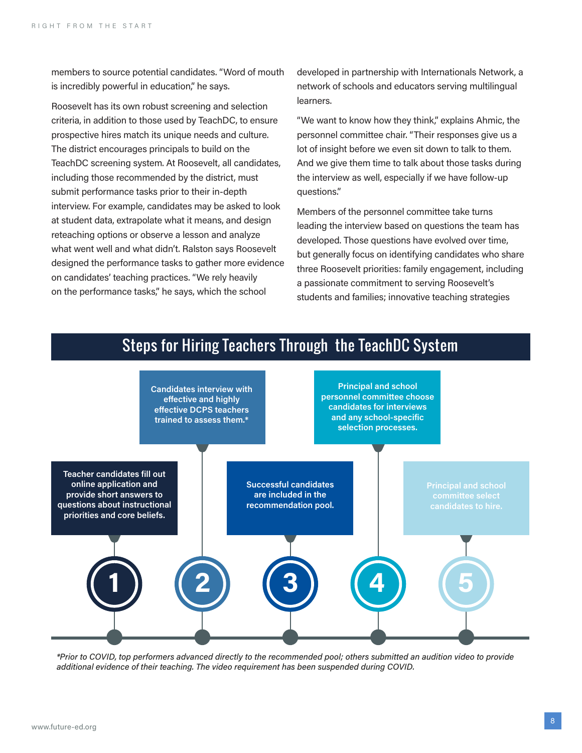members to source potential candidates. "Word of mouth is incredibly powerful in education," he says.

Roosevelt has its own robust screening and selection criteria, in addition to those used by TeachDC, to ensure prospective hires match its unique needs and culture. The district encourages principals to build on the TeachDC screening system. At Roosevelt, all candidates, including those recommended by the district, must submit performance tasks prior to their in-depth interview. For example, candidates may be asked to look at student data, extrapolate what it means, and design reteaching options or observe a lesson and analyze what went well and what didn't. Ralston says Roosevelt designed the performance tasks to gather more evidence on candidates' teaching practices. "We rely heavily on the performance tasks," he says, which the school

developed in partnership with Internationals Network, a network of schools and educators serving multilingual learners.

"We want to know how they think," explains Ahmic, the personnel committee chair. "Their responses give us a lot of insight before we even sit down to talk to them. And we give them time to talk about those tasks during the interview as well, especially if we have follow-up questions."

Members of the personnel committee take turns leading the interview based on questions the team has developed. Those questions have evolved over time, but generally focus on identifying candidates who share three Roosevelt priorities: family engagement, including a passionate commitment to serving Roosevelt's students and families; innovative teaching strategies



*\*Prior to COVID, top performers advanced directly to the recommended pool; others submitted an audition video to provide additional evidence of their teaching. The video requirement has been suspended during COVID.*

## Steps for Hiring Teachers Through the TeachDC System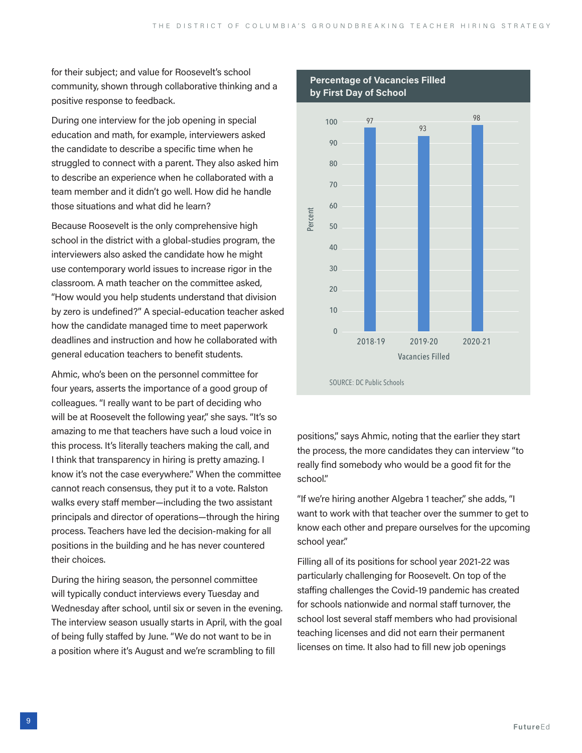for their subject; and value for Roosevelt's school community, shown through collaborative thinking and a positive response to feedback.

During one interview for the job opening in special education and math, for example, interviewers asked the candidate to describe a specific time when he struggled to connect with a parent. They also asked him to describe an experience when he collaborated with a team member and it didn't go well. How did he handle those situations and what did he learn?

Because Roosevelt is the only comprehensive high school in the district with a global-studies program, the interviewers also asked the candidate how he might use contemporary world issues to increase rigor in the classroom. A math teacher on the committee asked, "How would you help students understand that division by zero is undefined?" A special-education teacher asked how the candidate managed time to meet paperwork deadlines and instruction and how he collaborated with general education teachers to benefit students.

Ahmic, who's been on the personnel committee for four years, asserts the importance of a good group of colleagues. "I really want to be part of deciding who will be at Roosevelt the following year," she says. "It's so amazing to me that teachers have such a loud voice in this process. It's literally teachers making the call, and I think that transparency in hiring is pretty amazing. I know it's not the case everywhere." When the committee cannot reach consensus, they put it to a vote. Ralston walks every staff member—including the two assistant principals and director of operations—through the hiring process. Teachers have led the decision-making for all positions in the building and he has never countered their choices.

During the hiring season, the personnel committee will typically conduct interviews every Tuesday and Wednesday after school, until six or seven in the evening. The interview season usually starts in April, with the goal of being fully staffed by June. "We do not want to be in a position where it's August and we're scrambling to fill

#### **Percentage of Vacancies Filled by First Day of School**



positions," says Ahmic, noting that the earlier they start the process, the more candidates they can interview "to really find somebody who would be a good fit for the school."

"If we're hiring another Algebra 1 teacher," she adds, "I want to work with that teacher over the summer to get to know each other and prepare ourselves for the upcoming school year."

Filling all of its positions for school year 2021-22 was particularly challenging for Roosevelt. On top of the staffing challenges the Covid-19 pandemic has created for schools nationwide and normal staff turnover, the school lost several staff members who had provisional teaching licenses and did not earn their permanent licenses on time. It also had to fill new job openings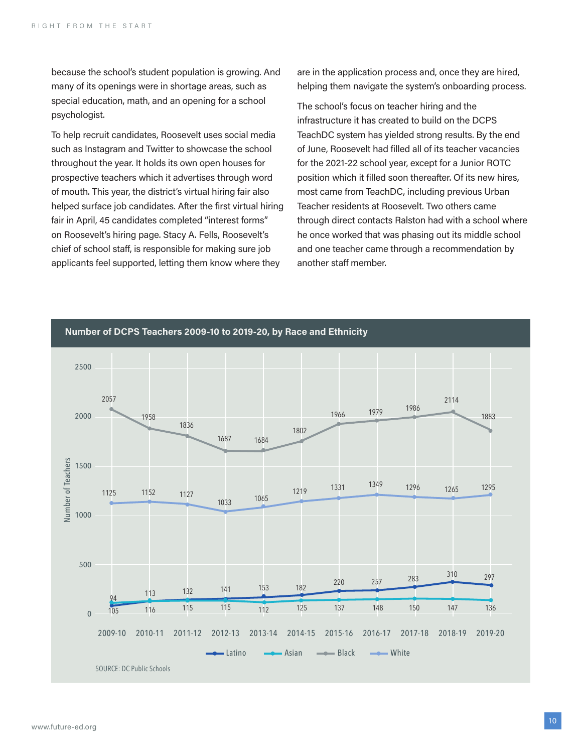because the school's student population is growing. And many of its openings were in shortage areas, such as special education, math, and an opening for a school psychologist.

To help recruit candidates, Roosevelt uses social media such as Instagram and Twitter to showcase the school throughout the year. It holds its own open houses for prospective teachers which it advertises through word of mouth. This year, the district's virtual hiring fair also helped surface job candidates. After the first virtual hiring fair in April, 45 candidates completed "interest forms" on Roosevelt's hiring page. Stacy A. Fells, Roosevelt's chief of school staff, is responsible for making sure job applicants feel supported, letting them know where they

are in the application process and, once they are hired, helping them navigate the system's onboarding process.

The school's focus on teacher hiring and the infrastructure it has created to build on the DCPS TeachDC system has yielded strong results. By the end of June, Roosevelt had filled all of its teacher vacancies for the 2021-22 school year, except for a Junior ROTC position which it filled soon thereafter. Of its new hires, most came from TeachDC, including previous Urban Teacher residents at Roosevelt. Two others came through direct contacts Ralston had with a school where he once worked that was phasing out its middle school and one teacher came through a recommendation by another staff member.

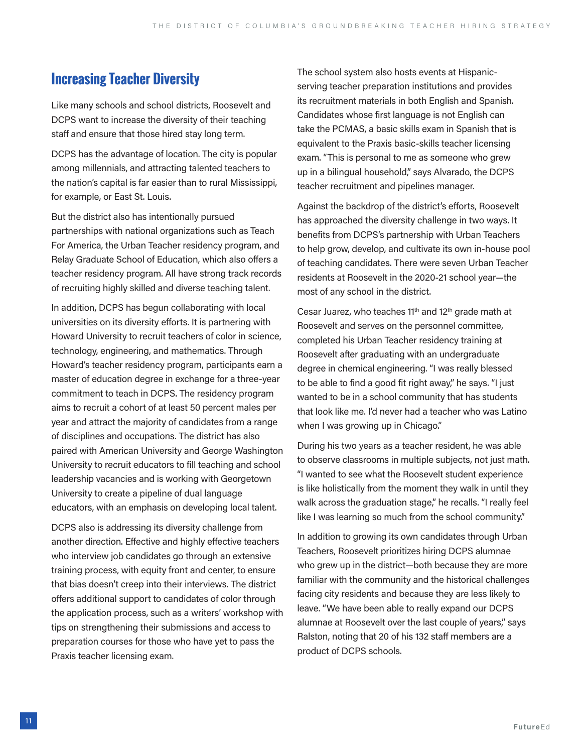## **Increasing Teacher Diversity**

Like many schools and school districts, Roosevelt and DCPS want to increase the diversity of their teaching staff and ensure that those hired stay long term.

DCPS has the advantage of location. The city is popular among millennials, and attracting talented teachers to the nation's capital is far easier than to rural Mississippi, for example, or East St. Louis.

But the district also has intentionally pursued partnerships with national organizations such as Teach For America, the Urban Teacher residency program, and Relay Graduate School of Education, which also offers a teacher residency program. All have strong track records of recruiting highly skilled and diverse teaching talent.

In addition, DCPS has begun collaborating with local universities on its diversity efforts. It is partnering with Howard University to recruit teachers of color in science, technology, engineering, and mathematics. Through Howard's teacher residency program, participants earn a master of education degree in exchange for a three-year commitment to teach in DCPS. The residency program aims to recruit a cohort of at least 50 percent males per year and attract the majority of candidates from a range of disciplines and occupations. The district has also paired with American University and George Washington University to recruit educators to fill teaching and school leadership vacancies and is working with Georgetown University to create a pipeline of dual language educators, with an emphasis on developing local talent.

DCPS also is addressing its diversity challenge from another direction. Effective and highly effective teachers who interview job candidates go through an extensive training process, with equity front and center, to ensure that bias doesn't creep into their interviews. The district offers additional support to candidates of color through the application process, such as a writers' workshop with tips on strengthening their submissions and access to preparation courses for those who have yet to pass the Praxis teacher licensing exam.

The school system also hosts events at Hispanicserving teacher preparation institutions and provides its recruitment materials in both English and Spanish. Candidates whose first language is not English can take the PCMAS, a basic skills exam in Spanish that is equivalent to the Praxis basic-skills teacher licensing exam. "This is personal to me as someone who grew up in a bilingual household," says Alvarado, the DCPS teacher recruitment and pipelines manager.

Against the backdrop of the district's efforts, Roosevelt has approached the diversity challenge in two ways. It benefits from DCPS's partnership with Urban Teachers to help grow, develop, and cultivate its own in-house pool of teaching candidates. There were seven Urban Teacher residents at Roosevelt in the 2020-21 school year—the most of any school in the district.

Cesar Juarez, who teaches 11<sup>th</sup> and 12<sup>th</sup> grade math at Roosevelt and serves on the personnel committee, completed his Urban Teacher residency training at Roosevelt after graduating with an undergraduate degree in chemical engineering. "I was really blessed to be able to find a good fit right away," he says. "I just wanted to be in a school community that has students that look like me. I'd never had a teacher who was Latino when I was growing up in Chicago."

During his two years as a teacher resident, he was able to observe classrooms in multiple subjects, not just math. "I wanted to see what the Roosevelt student experience is like holistically from the moment they walk in until they walk across the graduation stage," he recalls. "I really feel like I was learning so much from the school community."

In addition to growing its own candidates through Urban Teachers, Roosevelt prioritizes hiring DCPS alumnae who grew up in the district—both because they are more familiar with the community and the historical challenges facing city residents and because they are less likely to leave. "We have been able to really expand our DCPS alumnae at Roosevelt over the last couple of years," says Ralston, noting that 20 of his 132 staff members are a product of DCPS schools.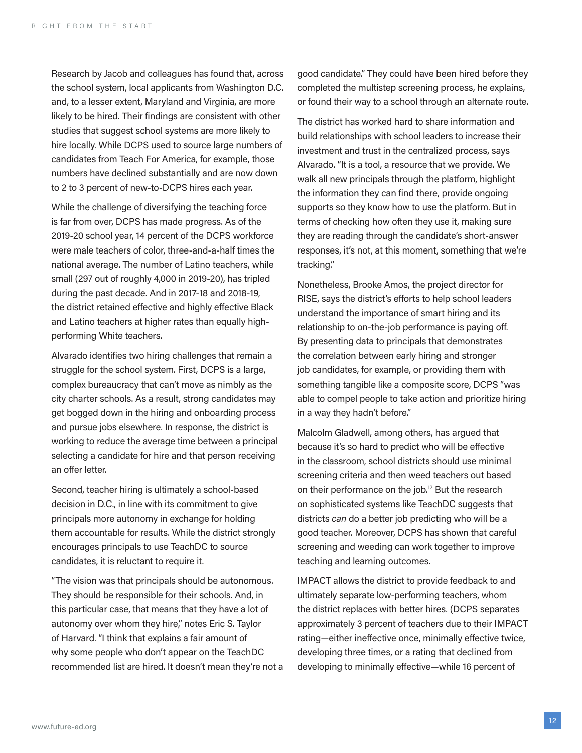Research by Jacob and colleagues has found that, across the school system, local applicants from Washington D.C. and, to a lesser extent, Maryland and Virginia, are more likely to be hired. Their findings are consistent with other studies that suggest school systems are more likely to hire locally. While DCPS used to source large numbers of candidates from Teach For America, for example, those numbers have declined substantially and are now down to 2 to 3 percent of new-to-DCPS hires each year.

While the challenge of diversifying the teaching force is far from over, DCPS has made progress. As of the 2019-20 school year, 14 percent of the DCPS workforce were male teachers of color, three-and-a-half times the national average. The number of Latino teachers, while small (297 out of roughly 4,000 in 2019-20), has tripled during the past decade. And in 2017-18 and 2018-19, the district retained effective and highly effective Black and Latino teachers at higher rates than equally highperforming White teachers.

Alvarado identifies two hiring challenges that remain a struggle for the school system. First, DCPS is a large, complex bureaucracy that can't move as nimbly as the city charter schools. As a result, strong candidates may get bogged down in the hiring and onboarding process and pursue jobs elsewhere. In response, the district is working to reduce the average time between a principal selecting a candidate for hire and that person receiving an offer letter.

Second, teacher hiring is ultimately a school-based decision in D.C., in line with its commitment to give principals more autonomy in exchange for holding them accountable for results. While the district strongly encourages principals to use TeachDC to source candidates, it is reluctant to require it.

"The vision was that principals should be autonomous. They should be responsible for their schools. And, in this particular case, that means that they have a lot of autonomy over whom they hire," notes Eric S. Taylor of Harvard. "I think that explains a fair amount of why some people who don't appear on the TeachDC recommended list are hired. It doesn't mean they're not a good candidate." They could have been hired before they completed the multistep screening process, he explains, or found their way to a school through an alternate route.

The district has worked hard to share information and build relationships with school leaders to increase their investment and trust in the centralized process, says Alvarado. "It is a tool, a resource that we provide. We walk all new principals through the platform, highlight the information they can find there, provide ongoing supports so they know how to use the platform. But in terms of checking how often they use it, making sure they are reading through the candidate's short-answer responses, it's not, at this moment, something that we're tracking."

Nonetheless, Brooke Amos, the project director for RISE, says the district's efforts to help school leaders understand the importance of smart hiring and its relationship to on-the-job performance is paying off. By presenting data to principals that demonstrates the correlation between early hiring and stronger job candidates, for example, or providing them with something tangible like a composite score, DCPS "was able to compel people to take action and prioritize hiring in a way they hadn't before."

Malcolm Gladwell, among others, has argued that because it's so hard to predict who will be effective in the classroom, school districts should use minimal screening criteria and then weed teachers out based on their performance on the job.12 But the research on sophisticated systems like TeachDC suggests that districts *can* do a better job predicting who will be a good teacher. Moreover, DCPS has shown that careful screening and weeding can work together to improve teaching and learning outcomes.

IMPACT allows the district to provide feedback to and ultimately separate low-performing teachers, whom the district replaces with better hires. (DCPS separates approximately 3 percent of teachers due to their IMPACT rating—either ineffective once, minimally effective twice, developing three times, or a rating that declined from developing to minimally effective—while 16 percent of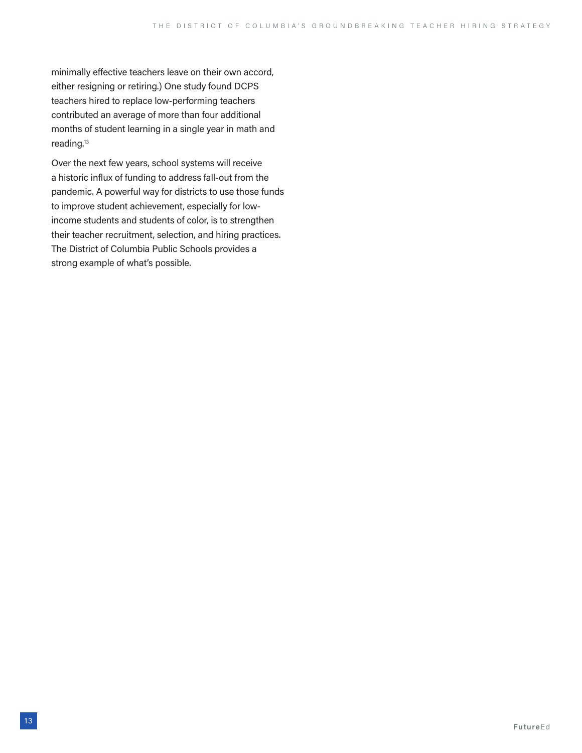minimally effective teachers leave on their own accord, either resigning or retiring.) One study found DCPS teachers hired to replace low-performing teachers contributed an average of more than four additional months of student learning in a single year in math and reading.<sup>13</sup>

Over the next few years, school systems will receive a historic influx of funding to address fall-out from the pandemic. A powerful way for districts to use those funds to improve student achievement, especially for lowincome students and students of color, is to strengthen their teacher recruitment, selection, and hiring practices. The District of Columbia Public Schools provides a strong example of what's possible.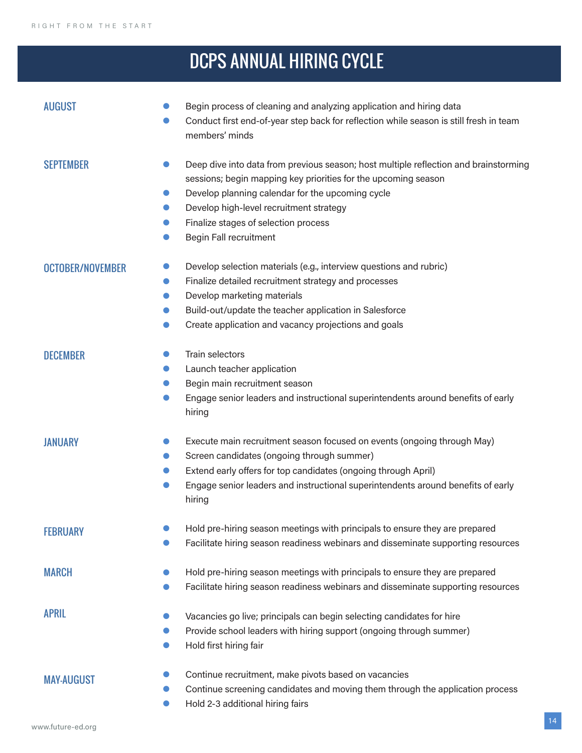## DCPS ANNUAL HIRING CYCLE

| <b>AUGUST</b>           | Begin process of cleaning and analyzing application and hiring data<br>Conduct first end-of-year step back for reflection while season is still fresh in team<br>members' minds                                                                                                                                                             |
|-------------------------|---------------------------------------------------------------------------------------------------------------------------------------------------------------------------------------------------------------------------------------------------------------------------------------------------------------------------------------------|
| <b>SEPTEMBER</b>        | Deep dive into data from previous season; host multiple reflection and brainstorming<br>sessions; begin mapping key priorities for the upcoming season<br>Develop planning calendar for the upcoming cycle<br>$\bullet$<br>Develop high-level recruitment strategy<br>Finalize stages of selection process<br><b>Begin Fall recruitment</b> |
| <b>OCTOBER/NOVEMBER</b> | Develop selection materials (e.g., interview questions and rubric)<br>Finalize detailed recruitment strategy and processes<br>Develop marketing materials<br>Build-out/update the teacher application in Salesforce<br>Create application and vacancy projections and goals                                                                 |
| <b>DECEMBER</b>         | Train selectors<br>Launch teacher application<br>Begin main recruitment season<br>Engage senior leaders and instructional superintendents around benefits of early<br>hiring                                                                                                                                                                |
| <b>JANUARY</b>          | Execute main recruitment season focused on events (ongoing through May)<br>Screen candidates (ongoing through summer)<br>Extend early offers for top candidates (ongoing through April)<br>Engage senior leaders and instructional superintendents around benefits of early<br>hiring                                                       |
| <b>FEBRUARY</b>         | Hold pre-hiring season meetings with principals to ensure they are prepared<br>Facilitate hiring season readiness webinars and disseminate supporting resources                                                                                                                                                                             |
| <b>MARCH</b>            | Hold pre-hiring season meetings with principals to ensure they are prepared<br>Facilitate hiring season readiness webinars and disseminate supporting resources                                                                                                                                                                             |
| <b>APRIL</b>            | Vacancies go live; principals can begin selecting candidates for hire<br>Provide school leaders with hiring support (ongoing through summer)<br>Hold first hiring fair                                                                                                                                                                      |
| <b>MAY-AUGUST</b>       | Continue recruitment, make pivots based on vacancies<br>Continue screening candidates and moving them through the application process<br>Hold 2-3 additional hiring fairs                                                                                                                                                                   |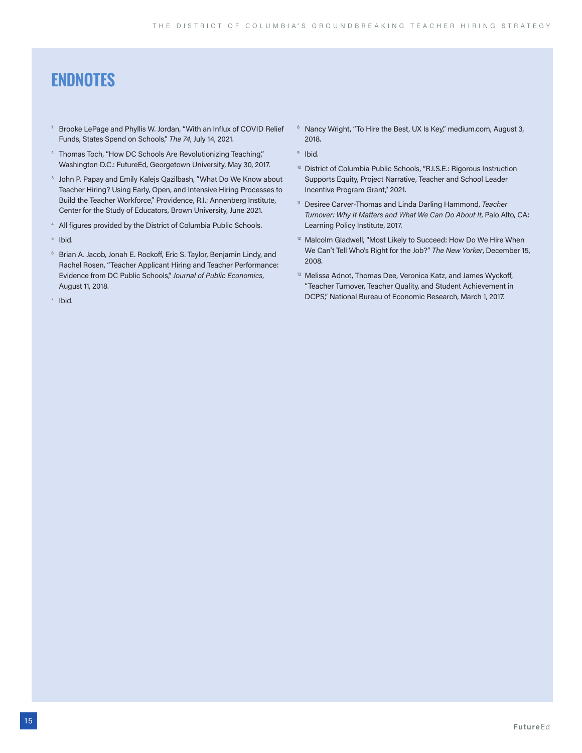## **ENDNOTES**

- <sup>1</sup> Brooke LePage and Phyllis W. Jordan, "With an Influx of COVID Relief Funds, States Spend on Schools," *The 74*, July 14, 2021.
- <sup>2</sup> Thomas Toch, "How DC Schools Are Revolutionizing Teaching," Washington D.C.: FutureEd, Georgetown University, May 30, 2017.
- <sup>3</sup> John P. Papay and Emily Kalejs Qazilbash, "What Do We Know about Teacher Hiring? Using Early, Open, and Intensive Hiring Processes to Build the Teacher Workforce," Providence, R.I.: Annenberg Institute, Center for the Study of Educators, Brown University, June 2021.
- <sup>4</sup> All figures provided by the District of Columbia Public Schools.
- <sup>5</sup> Ibid.
- <sup>6</sup> Brian A. Jacob, Jonah E. Rockoff, Eric S. Taylor, Benjamin Lindy, and Rachel Rosen, "Teacher Applicant Hiring and Teacher Performance: Evidence from DC Public Schools," *Journal of Public Economics*, August 11, 2018.
- <sup>8</sup> Nancy Wright, "To Hire the Best, UX Is Key," medium.com, August 3, 2018.
- <sup>9</sup> Ibid.
- <sup>10</sup> District of Columbia Public Schools, "R.I.S.E.: Rigorous Instruction Supports Equity, Project Narrative, Teacher and School Leader Incentive Program Grant," 2021.
- <sup>11</sup> Desiree Carver-Thomas and Linda Darling Hammond, *Teacher Turnover: Why It Matters and What We Can Do About It*, Palo Alto, CA: Learning Policy Institute, 2017.
- <sup>12</sup> Malcolm Gladwell, "Most Likely to Succeed: How Do We Hire When We Can't Tell Who's Right for the Job?" *The New Yorker*, December 15, 2008.
- <sup>13</sup> Melissa Adnot, Thomas Dee, Veronica Katz, and James Wyckoff, "Teacher Turnover, Teacher Quality, and Student Achievement in DCPS," National Bureau of Economic Research, March 1, 2017.

<sup>7</sup> Ibid.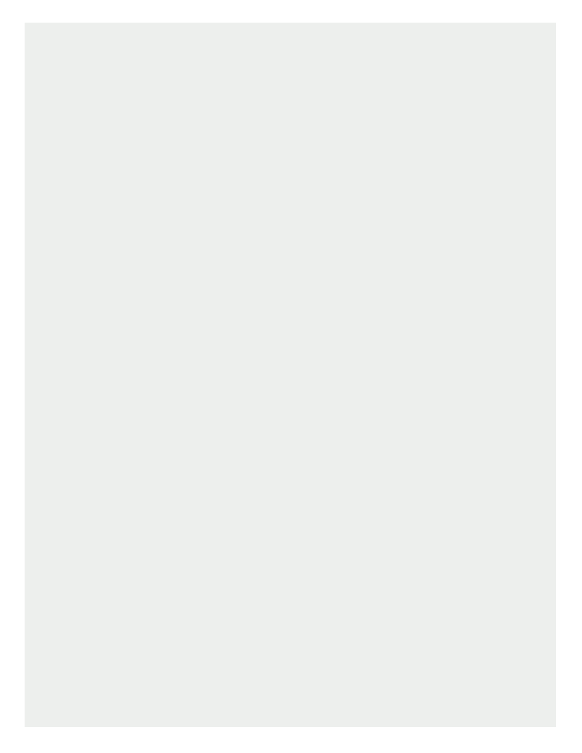